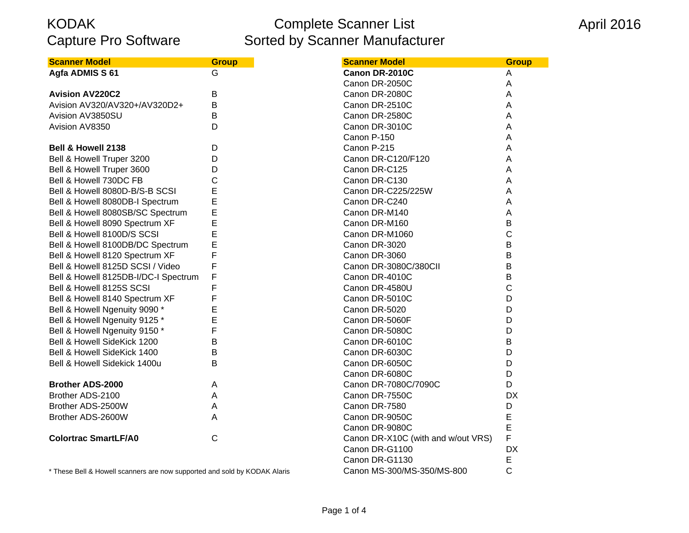### Complete Scanner List Sorted by Scanner Manufacturer

| <b>Scanner Model</b>                 | <b>Group</b> | <b>Scanner Model</b>               |
|--------------------------------------|--------------|------------------------------------|
| Agfa ADMIS S 61                      | G            | Canon DR-2010C                     |
|                                      |              | Canon DR-2050C                     |
| <b>Avision AV220C2</b>               | В            | Canon DR-2080C                     |
| Avision AV320/AV320+/AV320D2+        | B            | Canon DR-2510C                     |
| Avision AV3850SU                     | B            | Canon DR-2580C                     |
| Avision AV8350                       | D            | Canon DR-3010C                     |
|                                      |              | Canon P-150                        |
| Bell & Howell 2138                   | D            | Canon P-215                        |
| Bell & Howell Truper 3200            | D            | Canon DR-C120/F120                 |
| Bell & Howell Truper 3600            | D            | Canon DR-C125                      |
| Bell & Howell 730DC FB               | $\mathsf{C}$ | Canon DR-C130                      |
| Bell & Howell 8080D-B/S-B SCSI       | E            | Canon DR-C225/225W                 |
| Bell & Howell 8080DB-I Spectrum      | E            | Canon DR-C240                      |
| Bell & Howell 8080SB/SC Spectrum     | E            | Canon DR-M140                      |
| Bell & Howell 8090 Spectrum XF       | E            | Canon DR-M160                      |
| Bell & Howell 8100D/S SCSI           | E            | Canon DR-M1060                     |
| Bell & Howell 8100DB/DC Spectrum     | E            | Canon DR-3020                      |
| Bell & Howell 8120 Spectrum XF       | F            | Canon DR-3060                      |
| Bell & Howell 8125D SCSI / Video     | F            | Canon DR-3080C/380CII              |
| Bell & Howell 8125DB-I/DC-I Spectrum | F            | Canon DR-4010C                     |
| Bell & Howell 8125S SCSI             | F            | Canon DR-4580U                     |
| Bell & Howell 8140 Spectrum XF       | F            | Canon DR-5010C                     |
| Bell & Howell Ngenuity 9090 *        | E            | Canon DR-5020                      |
| Bell & Howell Ngenuity 9125 *        | E            | Canon DR-5060F                     |
| Bell & Howell Ngenuity 9150*         | F            | Canon DR-5080C                     |
| Bell & Howell SideKick 1200          | B            | Canon DR-6010C                     |
| Bell & Howell SideKick 1400          | B            | Canon DR-6030C                     |
| Bell & Howell Sidekick 1400u         | B            | Canon DR-6050C                     |
|                                      |              | Canon DR-6080C                     |
| <b>Brother ADS-2000</b>              | Α            | Canon DR-7080C/7090C               |
| Brother ADS-2100                     | A            | Canon DR-7550C                     |
| Brother ADS-2500W                    | A            | Canon DR-7580                      |
| Brother ADS-2600W                    | A            | Canon DR-9050C                     |
|                                      |              | Canon DR-9080C                     |
| <b>Colortrac SmartLF/A0</b>          | $\mathsf{C}$ | Canon DR-X10C (with and w/out VRS) |
|                                      |              | Canon DR-G1100                     |
|                                      |              | Canon DR-G1130                     |

\* These Bell & Howell scanners are now supported and sold by KODAK Alaris Canon MS-300/MS-350/MS-800 C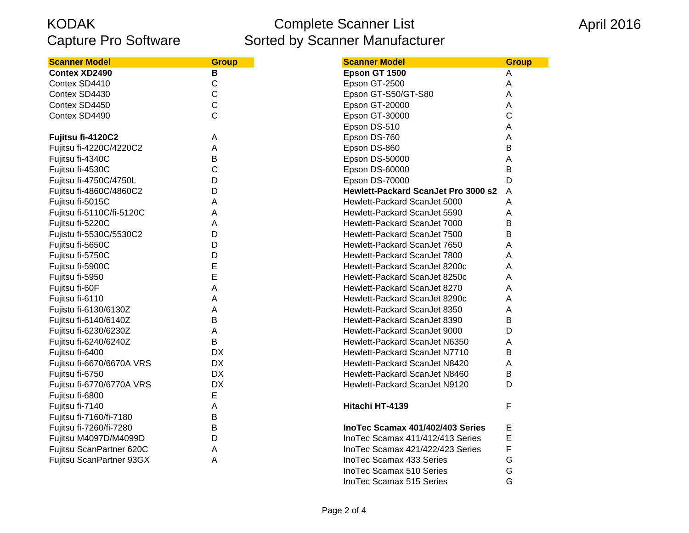## Complete Scanner List Sorted by Scanner Manufacturer

## April 2016

| <b>Scanner Model</b>      | <b>Group</b>   | <b>Scanner Model</b>                | <b>Group</b>   |
|---------------------------|----------------|-------------------------------------|----------------|
| <b>Contex XD2490</b>      | В              | Epson GT 1500                       | Α              |
| Contex SD4410             | $\mathsf{C}$   | Epson GT-2500                       | A              |
| Contex SD4430             | $\mathsf{C}$   | Epson GT-S50/GT-S80                 | A              |
| Contex SD4450             | $\mathsf{C}$   | Epson GT-20000                      | Α              |
| Contex SD4490             | $\overline{C}$ | <b>Epson GT-30000</b>               | $\overline{C}$ |
|                           |                | Epson DS-510                        | A              |
| Fujitsu fi-4120C2         | Α              | Epson DS-760                        | Α              |
| Fujitsu fi-4220C/4220C2   | A              | Epson DS-860                        | Β              |
| Fujitsu fi-4340C          | B              | Epson DS-50000                      | Α              |
| Fujitsu fi-4530C          | $\mathsf{C}$   | Epson DS-60000                      | B              |
| Fujitsu fi-4750C/4750L    | D              | <b>Epson DS-70000</b>               | D              |
| Fujitsu fi-4860C/4860C2   | D              | Hewlett-Packard ScanJet Pro 3000 s2 | A              |
| Fujitsu fi-5015C          | A              | Hewlett-Packard ScanJet 5000        | Α              |
| Fujitsu fi-5110C/fi-5120C | Α              | Hewlett-Packard ScanJet 5590        | Α              |
| Fujitsu fi-5220C          | A              | Hewlett-Packard ScanJet 7000        | B              |
| Fujistu fi-5530C/5530C2   | D              | Hewlett-Packard ScanJet 7500        | B              |
| Fujitsu fi-5650C          | D              | Hewlett-Packard ScanJet 7650        | A              |
| Fujitsu fi-5750C          | D              | Hewlett-Packard ScanJet 7800        |                |
| Fujitsu fi-5900C          | E              | Hewlett-Packard ScanJet 8200c       |                |
| Fujitsu fi-5950           | E              | Hewlett-Packard ScanJet 8250c       |                |
| Fujitsu fi-60F            | A              | Hewlett-Packard ScanJet 8270        |                |
| Fujitsu fi-6110           | Α              | Hewlett-Packard ScanJet 8290c       |                |
| Fujistu fi-6130/6130Z     | A              | Hewlett-Packard ScanJet 8350        |                |
| Fujitsu fi-6140/6140Z     | B              | Hewlett-Packard ScanJet 8390        | B              |
| Fujitsu fi-6230/6230Z     | A              | Hewlett-Packard ScanJet 9000        | D              |
| Fujitsu fi-6240/6240Z     | B              | Hewlett-Packard ScanJet N6350       |                |
| Fujitsu fi-6400           | <b>DX</b>      | Hewlett-Packard ScanJet N7710       | B              |
| Fujitsu fi-6670/6670A VRS | <b>DX</b>      | Hewlett-Packard ScanJet N8420       | Α              |
| Fujitsu fi-6750           | <b>DX</b>      | Hewlett-Packard ScanJet N8460       | B              |
| Fujitsu fi-6770/6770A VRS | <b>DX</b>      | Hewlett-Packard ScanJet N9120       | D              |
| Fujitsu fi-6800           | E              |                                     |                |
| Fujitsu fi-7140           | A              | Hitachi HT-4139                     | F              |
| Fujitsu fi-7160/fi-7180   | B              |                                     |                |
| Fujitsu fi-7260/fi-7280   | B              | InoTec Scamax 401/402/403 Series    | E              |
| Fujitsu M4097D/M4099D     | D              | InoTec Scamax 411/412/413 Series    | E              |
| Fujitsu ScanPartner 620C  | Α              | InoTec Scamax 421/422/423 Series    | F              |
| Fujitsu ScanPartner 93GX  | A              | InoTec Scamax 433 Series            | G              |
|                           |                | IngTec Scamay 510 Series            | G              |

| <b>Scanner Model</b>          | <b>Group</b>                                                                                                                                                                                                                                                                                                                                                                                                                                                                                                                                                                                                                                                                                                                                                                                                                                                          |
|-------------------------------|-----------------------------------------------------------------------------------------------------------------------------------------------------------------------------------------------------------------------------------------------------------------------------------------------------------------------------------------------------------------------------------------------------------------------------------------------------------------------------------------------------------------------------------------------------------------------------------------------------------------------------------------------------------------------------------------------------------------------------------------------------------------------------------------------------------------------------------------------------------------------|
| Epson GT 1500                 | A                                                                                                                                                                                                                                                                                                                                                                                                                                                                                                                                                                                                                                                                                                                                                                                                                                                                     |
| Epson GT-2500                 | А                                                                                                                                                                                                                                                                                                                                                                                                                                                                                                                                                                                                                                                                                                                                                                                                                                                                     |
| Epson GT-S50/GT-S80           | Α                                                                                                                                                                                                                                                                                                                                                                                                                                                                                                                                                                                                                                                                                                                                                                                                                                                                     |
| Epson GT-20000                | A                                                                                                                                                                                                                                                                                                                                                                                                                                                                                                                                                                                                                                                                                                                                                                                                                                                                     |
| Epson GT-30000                | C                                                                                                                                                                                                                                                                                                                                                                                                                                                                                                                                                                                                                                                                                                                                                                                                                                                                     |
| Epson DS-510                  | A                                                                                                                                                                                                                                                                                                                                                                                                                                                                                                                                                                                                                                                                                                                                                                                                                                                                     |
|                               | A                                                                                                                                                                                                                                                                                                                                                                                                                                                                                                                                                                                                                                                                                                                                                                                                                                                                     |
| Epson DS-860                  | B                                                                                                                                                                                                                                                                                                                                                                                                                                                                                                                                                                                                                                                                                                                                                                                                                                                                     |
|                               | Α                                                                                                                                                                                                                                                                                                                                                                                                                                                                                                                                                                                                                                                                                                                                                                                                                                                                     |
|                               | B                                                                                                                                                                                                                                                                                                                                                                                                                                                                                                                                                                                                                                                                                                                                                                                                                                                                     |
|                               | D                                                                                                                                                                                                                                                                                                                                                                                                                                                                                                                                                                                                                                                                                                                                                                                                                                                                     |
|                               | A                                                                                                                                                                                                                                                                                                                                                                                                                                                                                                                                                                                                                                                                                                                                                                                                                                                                     |
|                               | A                                                                                                                                                                                                                                                                                                                                                                                                                                                                                                                                                                                                                                                                                                                                                                                                                                                                     |
|                               | A                                                                                                                                                                                                                                                                                                                                                                                                                                                                                                                                                                                                                                                                                                                                                                                                                                                                     |
|                               | B                                                                                                                                                                                                                                                                                                                                                                                                                                                                                                                                                                                                                                                                                                                                                                                                                                                                     |
|                               | B                                                                                                                                                                                                                                                                                                                                                                                                                                                                                                                                                                                                                                                                                                                                                                                                                                                                     |
|                               | A                                                                                                                                                                                                                                                                                                                                                                                                                                                                                                                                                                                                                                                                                                                                                                                                                                                                     |
| Hewlett-Packard ScanJet 7800  | A                                                                                                                                                                                                                                                                                                                                                                                                                                                                                                                                                                                                                                                                                                                                                                                                                                                                     |
| Hewlett-Packard ScanJet 8200c | A                                                                                                                                                                                                                                                                                                                                                                                                                                                                                                                                                                                                                                                                                                                                                                                                                                                                     |
|                               | A                                                                                                                                                                                                                                                                                                                                                                                                                                                                                                                                                                                                                                                                                                                                                                                                                                                                     |
|                               | A                                                                                                                                                                                                                                                                                                                                                                                                                                                                                                                                                                                                                                                                                                                                                                                                                                                                     |
|                               | A                                                                                                                                                                                                                                                                                                                                                                                                                                                                                                                                                                                                                                                                                                                                                                                                                                                                     |
|                               | A                                                                                                                                                                                                                                                                                                                                                                                                                                                                                                                                                                                                                                                                                                                                                                                                                                                                     |
|                               | В                                                                                                                                                                                                                                                                                                                                                                                                                                                                                                                                                                                                                                                                                                                                                                                                                                                                     |
|                               | D                                                                                                                                                                                                                                                                                                                                                                                                                                                                                                                                                                                                                                                                                                                                                                                                                                                                     |
|                               | A                                                                                                                                                                                                                                                                                                                                                                                                                                                                                                                                                                                                                                                                                                                                                                                                                                                                     |
|                               | B                                                                                                                                                                                                                                                                                                                                                                                                                                                                                                                                                                                                                                                                                                                                                                                                                                                                     |
|                               | A                                                                                                                                                                                                                                                                                                                                                                                                                                                                                                                                                                                                                                                                                                                                                                                                                                                                     |
|                               | В                                                                                                                                                                                                                                                                                                                                                                                                                                                                                                                                                                                                                                                                                                                                                                                                                                                                     |
|                               | D                                                                                                                                                                                                                                                                                                                                                                                                                                                                                                                                                                                                                                                                                                                                                                                                                                                                     |
| Hitachi HT-4139               | F                                                                                                                                                                                                                                                                                                                                                                                                                                                                                                                                                                                                                                                                                                                                                                                                                                                                     |
|                               |                                                                                                                                                                                                                                                                                                                                                                                                                                                                                                                                                                                                                                                                                                                                                                                                                                                                       |
|                               | E                                                                                                                                                                                                                                                                                                                                                                                                                                                                                                                                                                                                                                                                                                                                                                                                                                                                     |
|                               | E                                                                                                                                                                                                                                                                                                                                                                                                                                                                                                                                                                                                                                                                                                                                                                                                                                                                     |
|                               | F                                                                                                                                                                                                                                                                                                                                                                                                                                                                                                                                                                                                                                                                                                                                                                                                                                                                     |
|                               | G                                                                                                                                                                                                                                                                                                                                                                                                                                                                                                                                                                                                                                                                                                                                                                                                                                                                     |
|                               | G                                                                                                                                                                                                                                                                                                                                                                                                                                                                                                                                                                                                                                                                                                                                                                                                                                                                     |
|                               | Ġ                                                                                                                                                                                                                                                                                                                                                                                                                                                                                                                                                                                                                                                                                                                                                                                                                                                                     |
|                               | Epson DS-760<br>Epson DS-50000<br>Epson DS-60000<br>Epson DS-70000<br>Hewlett-Packard ScanJet Pro 3000 s2<br>Hewlett-Packard ScanJet 5000<br>Hewlett-Packard ScanJet 5590<br>Hewlett-Packard ScanJet 7000<br>Hewlett-Packard ScanJet 7500<br>Hewlett-Packard ScanJet 7650<br>Hewlett-Packard ScanJet 8250c<br>Hewlett-Packard ScanJet 8270<br>Hewlett-Packard ScanJet 8290c<br>Hewlett-Packard ScanJet 8350<br>Hewlett-Packard ScanJet 8390<br>Hewlett-Packard ScanJet 9000<br>Hewlett-Packard ScanJet N6350<br>Hewlett-Packard ScanJet N7710<br>Hewlett-Packard ScanJet N8420<br>Hewlett-Packard ScanJet N8460<br>Hewlett-Packard ScanJet N9120<br>InoTec Scamax 401/402/403 Series<br>InoTec Scamax 411/412/413 Series<br>InoTec Scamax 421/422/423 Series<br><b>InoTec Scamax 433 Series</b><br><b>InoTec Scamax 510 Series</b><br><b>InoTec Scamax 515 Series</b> |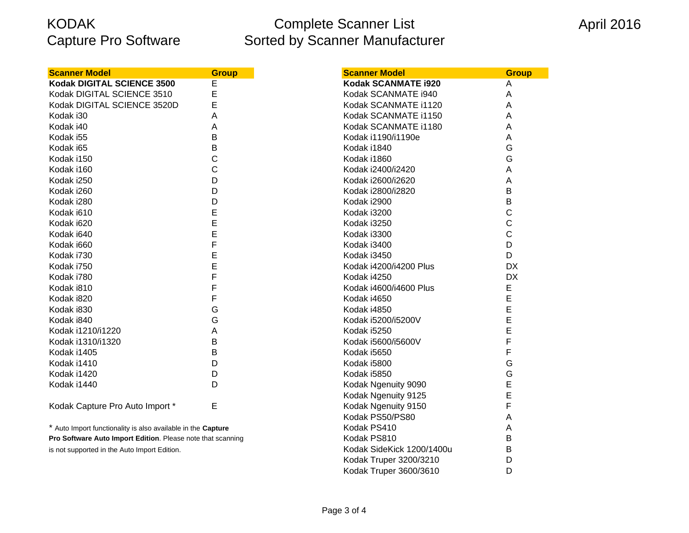# Complete Scanner List Sorted by Scanner Manufacturer

| <b>Scanner Model</b>                                         | <b>Group</b> | <b>Scanner Model</b>      |  |
|--------------------------------------------------------------|--------------|---------------------------|--|
| Kodak DIGITAL SCIENCE 3500                                   | E            | Kodak SCANMATE i920       |  |
| Kodak DIGITAL SCIENCE 3510                                   | E            | Kodak SCANMATE i940       |  |
| Kodak DIGITAL SCIENCE 3520D                                  | E            | Kodak SCANMATE i1120      |  |
| Kodak i30                                                    | A            | Kodak SCANMATE i1150      |  |
| Kodak i40                                                    | A            | Kodak SCANMATE i1180      |  |
| Kodak i55                                                    | B            | Kodak i1190/i1190e        |  |
| Kodak i65                                                    | B            | Kodak i1840               |  |
| Kodak i150                                                   | C            | Kodak i1860               |  |
| Kodak i160                                                   | $\mathbf C$  | Kodak i2400/i2420         |  |
| Kodak i250                                                   | D            | Kodak i2600/i2620         |  |
| Kodak i260                                                   | D            | Kodak i2800/i2820         |  |
| Kodak i280                                                   | D            | Kodak i2900               |  |
| Kodak i610                                                   | E            | Kodak i3200               |  |
| Kodak i620                                                   | E            | Kodak i3250               |  |
| Kodak i640                                                   | E            | Kodak i3300               |  |
| Kodak i660                                                   | F            | Kodak i3400               |  |
| Kodak i730                                                   | E            | Kodak i3450               |  |
| Kodak i750                                                   | E            | Kodak i4200/i4200 Plus    |  |
| Kodak i780                                                   | F            | Kodak i4250               |  |
| Kodak i810                                                   | F            | Kodak i4600/i4600 Plus    |  |
| Kodak i820                                                   | F            | Kodak i4650               |  |
| Kodak i830                                                   | G            | Kodak i4850               |  |
| Kodak i840                                                   | G            | Kodak i5200/i5200V        |  |
| Kodak i1210/i1220                                            | A            | Kodak i5250               |  |
| Kodak i1310/i1320                                            | B            | Kodak i5600/i5600V        |  |
| Kodak i1405                                                  | B            | Kodak i5650               |  |
| Kodak i1410                                                  | D            | Kodak i5800               |  |
| Kodak i1420                                                  | D            | Kodak i5850               |  |
| Kodak i1440                                                  | D            | Kodak Ngenuity 9090       |  |
|                                                              |              | Kodak Ngenuity 9125       |  |
| Kodak Capture Pro Auto Import *                              | E            | Kodak Ngenuity 9150       |  |
|                                                              |              | Kodak PS50/PS80           |  |
| * Auto Import functionality is also available in the Capture |              | Kodak PS410               |  |
| Pro Software Auto Import Edition. Please note that scanning  |              | Kodak PS810               |  |
| is not supported in the Auto Import Edition.                 |              | Kodak SideKick 1200/1400u |  |

| Kodak SCANMATE i1180      | Α         |
|---------------------------|-----------|
| Kodak i1190/i1190e        | Α         |
| Kodak i1840               | G         |
| Kodak i1860               | G         |
| Kodak i2400/i2420         | A         |
| Kodak i2600/i2620         | A         |
| Kodak i2800/i2820         | B         |
| Kodak i2900               | B         |
| Kodak i3200               | C         |
| Kodak i3250               | C         |
| Kodak i3300               | C         |
| Kodak i3400               | D         |
| Kodak i3450               | D         |
| Kodak i4200/i4200 Plus    | <b>DX</b> |
| Kodak i4250               | <b>DX</b> |
| Kodak i4600/i4600 Plus    | E         |
| Kodak i4650               | E         |
| Kodak i4850               | E         |
| Kodak i5200/i5200V        | E         |
| Kodak i5250               | E         |
| Kodak i5600/i5600V        | F         |
| Kodak i5650               | F         |
| Kodak i5800               | G         |
| Kodak i5850               | Ġ         |
| Kodak Ngenuity 9090       | E         |
| Kodak Ngenuity 9125       | E         |
| Kodak Ngenuity 9150       | F         |
| Kodak PS50/PS80           | A         |
| Kodak PS410               | A         |
| Kodak PS810               | B         |
| Kodak SideKick 1200/1400u | B         |
| Kodak Truper 3200/3210    | D         |
| Kodak Truper 3600/3610    | D         |